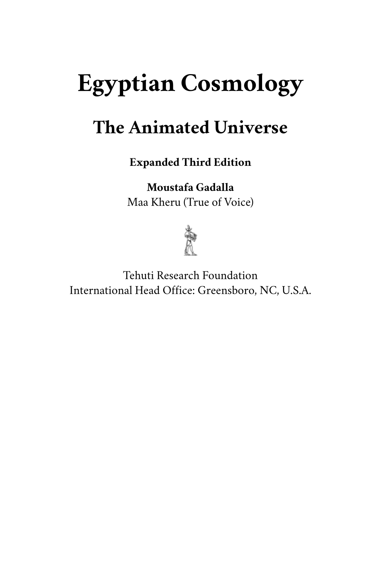# <span id="page-0-33"></span><span id="page-0-20"></span><span id="page-0-14"></span><span id="page-0-7"></span><span id="page-0-3"></span><span id="page-0-0"></span>**Egyptian Cosmology**

# <span id="page-0-31"></span><span id="page-0-24"></span><span id="page-0-13"></span><span id="page-0-8"></span><span id="page-0-4"></span><span id="page-0-2"></span>**The Animated Universe**

**Expanded Third Edition**

**Moustafa Gadalla** Maa Kheru (True of Voice)



<span id="page-0-47"></span><span id="page-0-46"></span><span id="page-0-45"></span><span id="page-0-44"></span><span id="page-0-43"></span><span id="page-0-42"></span><span id="page-0-41"></span><span id="page-0-40"></span><span id="page-0-39"></span><span id="page-0-38"></span><span id="page-0-37"></span><span id="page-0-36"></span><span id="page-0-35"></span><span id="page-0-34"></span><span id="page-0-32"></span><span id="page-0-30"></span><span id="page-0-29"></span><span id="page-0-28"></span><span id="page-0-27"></span><span id="page-0-26"></span><span id="page-0-25"></span><span id="page-0-23"></span><span id="page-0-22"></span><span id="page-0-21"></span><span id="page-0-19"></span><span id="page-0-18"></span><span id="page-0-17"></span><span id="page-0-16"></span><span id="page-0-15"></span><span id="page-0-12"></span><span id="page-0-11"></span><span id="page-0-10"></span><span id="page-0-9"></span><span id="page-0-6"></span><span id="page-0-5"></span><span id="page-0-1"></span>Tehuti Research Foundation International Head Office: Greensboro, NC, U.S.A.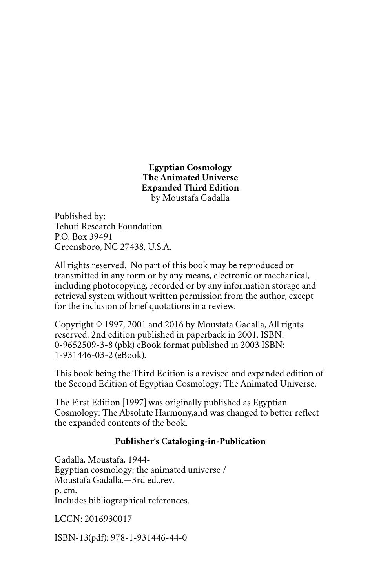**Egyptian Cosmology The Animated Universe Expanded Third Edition** by Moustafa Gadalla

Published by: Tehuti Research Foundation P.O. Box 39491 Greensboro, NC 27438, U.S.A.

All rights reserved. No part of this book may be reproduced or transmitted in any form or by any means, electronic or mechanical, including photocopying, recorded or by any information storage and retrieval system without written permission from the author, except for the inclusion of brief quotations in a review.

Copyright © 1997, 2001 and 2016 by Moustafa Gadalla, All rights reserved. 2nd edition published in paperback in 2001. ISBN: 0-9652509-3-8 (pbk) eBook format published in 2003 ISBN: 1-931446-03-2 (eBook).

This book being the Third Edition is a revised and expanded edition of the Second Edition of Egyptian Cosmology: The Animated Universe.

The First Edition [1997] was originally published as Egyptian Cosmology: The Absolute Harmony,and was changed to better reflect the expanded contents of the book.

#### **Publisher's Cataloging-in-Publication**

Gadalla, Moustafa, 1944- Egyptian cosmology: the animated universe / Moustafa Gadalla.—3rd ed.,rev. p. cm. Includes bibliographical references.

LCCN: 2016930017

ISBN-13(pdf): 978-1-931446-44-0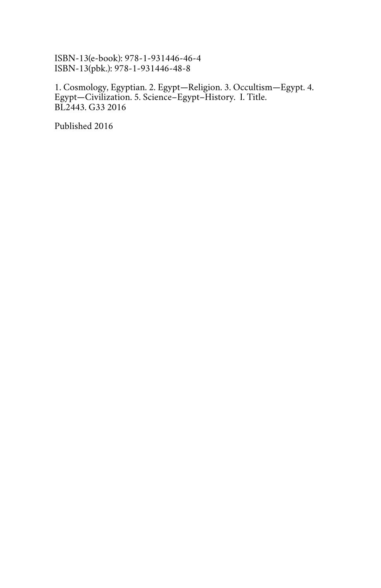ISBN-13(e-book): 978-1-931446-46-4 ISBN-13(pbk.): 978-1-931446-48-8

1. Cosmology, Egyptian. 2. Egypt—Religion. 3. Occultism—Egypt. 4. Egypt—Civilization. 5. Science–Egypt–History. I. Title. BL2443. G33 2016

Published 2016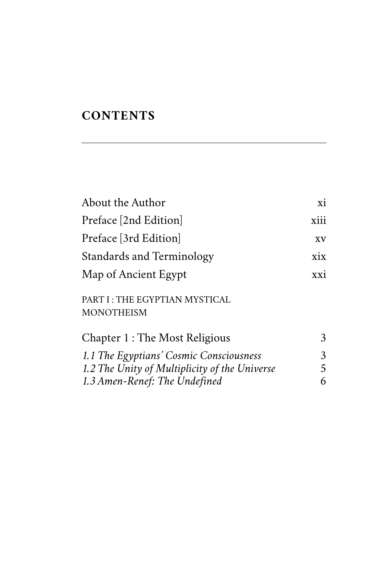### **CONTENTS**

| About the Author                                          | xi   |
|-----------------------------------------------------------|------|
| Preface [2nd Edition]                                     | xiii |
| Preface [3rd Edition]                                     | XV   |
| <b>Standards and Terminology</b>                          | xix  |
| Map of Ancient Egypt                                      | xxi  |
| <b>PART I: THE EGYPTIAN MYSTICAL</b><br><b>MONOTHEISM</b> |      |
| Chapter 1 : The Most Religious                            | 3    |
| 1.1 The Egyptians' Cosmic Consciousness                   | 3    |
| 1.2 The Unity of Multiplicity of the Universe             | 5    |
| 1.3 Amen-Renef: The Undefined                             | 6    |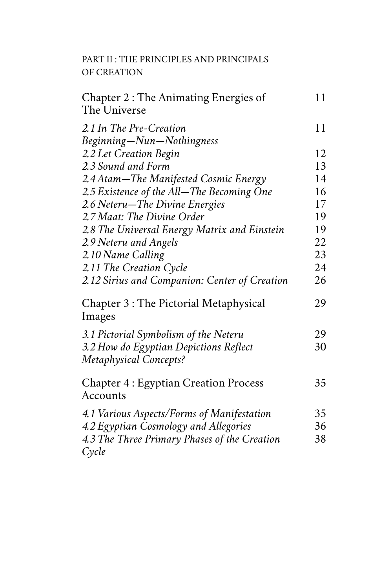[PART II : THE PRINCIPLES AND PRINCIPALS](#page-0-4) [OF CREATION](#page-0-4)

| Chapter 2: The Animating Energies of<br>The Universe                    | 11 |
|-------------------------------------------------------------------------|----|
| 2.1 In The Pre-Creation<br>Beginning-Nun-Nothingness                    | 11 |
| 2.2 Let Creation Begin                                                  | 12 |
| 2.3 Sound and Form                                                      | 13 |
| 2.4 Atam-The Manifested Cosmic Energy                                   | 14 |
| 2.5 Existence of the All-The Becoming One                               | 16 |
| 2.6 Neteru-The Divine Energies                                          | 17 |
| 2.7 Maat: The Divine Order                                              | 19 |
| 2.8 The Universal Energy Matrix and Einstein                            | 19 |
| 2.9 Neteru and Angels                                                   | 22 |
| 2.10 Name Calling                                                       | 23 |
| 2.11 The Creation Cycle                                                 | 24 |
| 2.12 Sirius and Companion: Center of Creation                           | 26 |
| Chapter 3 : The Pictorial Metaphysical<br>Images                        | 29 |
| 3.1 Pictorial Symbolism of the Neteru                                   | 29 |
| 3.2 How do Egyptian Depictions Reflect<br><b>Metaphysical Concepts?</b> | 30 |
| <b>Chapter 4: Egyptian Creation Process</b><br>Accounts                 | 35 |
| 4.1 Various Aspects/Forms of Manifestation                              | 35 |
| 4.2 Egyptian Cosmology and Allegories                                   | 36 |
| 4.3 The Three Primary Phases of the Creation<br>Cycle                   | 38 |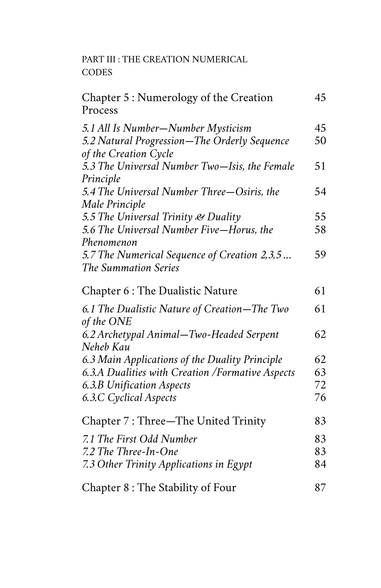[PART III : THE CREATION NUMERICAL](#page-0-4) [CODES](#page-0-4)

| Chapter 5 : Numerology of the Creation<br>Process                                                           | 45       |
|-------------------------------------------------------------------------------------------------------------|----------|
| 5.1 All Is Number-Number Mysticism<br>5.2 Natural Progression-The Orderly Sequence<br>of the Creation Cycle | 45<br>50 |
| 5.3 The Universal Number Two-Isis, the Female                                                               | 51       |
| Principle<br>5.4 The Universal Number Three-Osiris, the                                                     | 54       |
| Male Principle<br>5.5 The Universal Trinity & Duality                                                       | 55       |
| 5.6 The Universal Number Five-Horus, the<br>Phenomenon                                                      | 58       |
| 5.7 The Numerical Sequence of Creation 2,3,5<br>The Summation Series                                        | 59       |
| Chapter 6 : The Dualistic Nature                                                                            | 61       |
| 6.1 The Dualistic Nature of Creation–The Two<br>of the ONE                                                  | 61       |
| 6.2 Archetypal Animal-Two-Headed Serpent<br>Neheb Kau                                                       | 62       |
| 6.3 Main Applications of the Duality Principle                                                              | 62       |
| 6.3.A Dualities with Creation / Formative Aspects                                                           | 63       |
| 6.3.B Unification Aspects                                                                                   | 72       |
| 6.3.C Cyclical Aspects                                                                                      | 76       |
| Chapter 7: Three-The United Trinity                                                                         | 83       |
| 7.1 The First Odd Number                                                                                    | 83       |
| 7.2 The Three-In-One                                                                                        | 83       |
| 7.3 Other Trinity Applications in Egypt                                                                     | 84       |
| Chapter 8 : The Stability of Four                                                                           | 87       |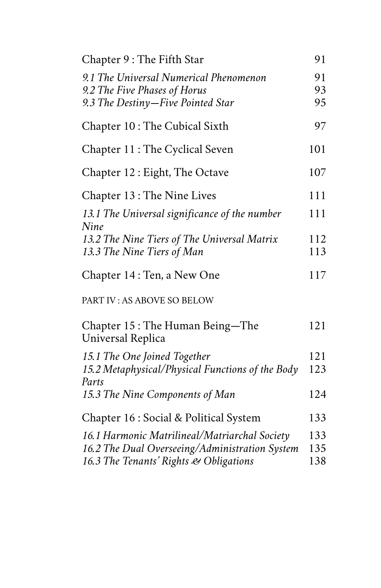| Chapter 9: The Fifth Star                                                                                                                 | 91                |
|-------------------------------------------------------------------------------------------------------------------------------------------|-------------------|
| 9.1 The Universal Numerical Phenomenon<br>9.2 The Five Phases of Horus<br>9.3 The Destiny-Five Pointed Star                               | 91<br>93<br>95    |
| Chapter 10: The Cubical Sixth                                                                                                             | 97                |
| Chapter 11: The Cyclical Seven                                                                                                            | 101               |
| Chapter 12: Eight, The Octave                                                                                                             | 107               |
| Chapter 13: The Nine Lives                                                                                                                | 111               |
| 13.1 The Universal significance of the number<br>Nine                                                                                     | 111               |
| 13.2 The Nine Tiers of The Universal Matrix<br>13.3 The Nine Tiers of Man                                                                 | 112<br>113        |
| Chapter 14: Ten, a New One                                                                                                                | 117               |
| PART IV: AS ABOVE SO BELOW                                                                                                                |                   |
| Chapter 15: The Human Being-The<br>Universal Replica                                                                                      | 121               |
| 15.1 The One Joined Together<br>15.2 Metaphysical/Physical Functions of the Body<br>Parts                                                 | 121<br>123        |
| 15.3 The Nine Components of Man                                                                                                           | 124               |
| Chapter 16 : Social & Political System                                                                                                    | 133               |
| 16.1 Harmonic Matrilineal/Matriarchal Society<br>16.2 The Dual Overseeing/Administration System<br>16.3 The Tenants' Rights & Obligations | 133<br>135<br>138 |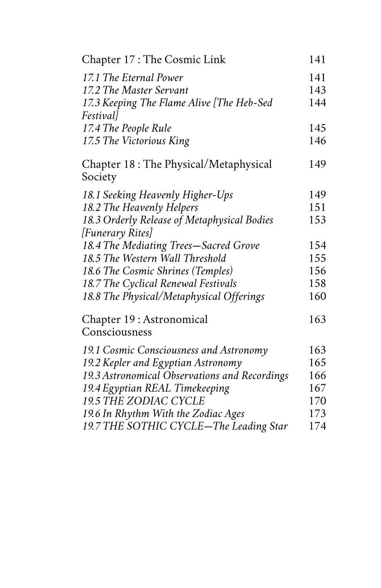| Chapter 17: The Cosmic Link                      | 141 |
|--------------------------------------------------|-----|
| 17.1 The Eternal Power                           | 141 |
| 17.2 The Master Servant                          | 143 |
| 17.3 Keeping The Flame Alive [The Heb-Sed        | 144 |
| <i>Festival]</i>                                 |     |
| 17.4 The People Rule                             | 145 |
| 17.5 The Victorious King                         | 146 |
| Chapter 18: The Physical/Metaphysical<br>Society | 149 |
| 18.1 Seeking Heavenly Higher-Ups                 | 149 |
| 18.2 The Heavenly Helpers                        | 151 |
| 18.3 Orderly Release of Metaphysical Bodies      | 153 |
| [Funerary Rites]                                 |     |
| 18.4 The Mediating Trees-Sacred Grove            | 154 |
| 18.5 The Western Wall Threshold                  | 155 |
| 18.6 The Cosmic Shrines (Temples)                | 156 |
| 18.7 The Cyclical Renewal Festivals              | 158 |
| 18.8 The Physical/Metaphysical Offerings         | 160 |
| Chapter 19 : Astronomical                        | 163 |
| Consciousness                                    |     |
| 19.1 Cosmic Consciousness and Astronomy          | 163 |
| 19.2 Kepler and Egyptian Astronomy               | 165 |
| 19.3 Astronomical Observations and Recordings    | 166 |
| 19.4 Egyptian REAL Timekeeping                   | 167 |
| <b>19.5 THE ZODIAC CYCLE</b>                     | 170 |
| 19.6 In Rhythm With the Zodiac Ages              | 173 |
| 19.7 THE SOTHIC CYCLE-The Leading Star           | 174 |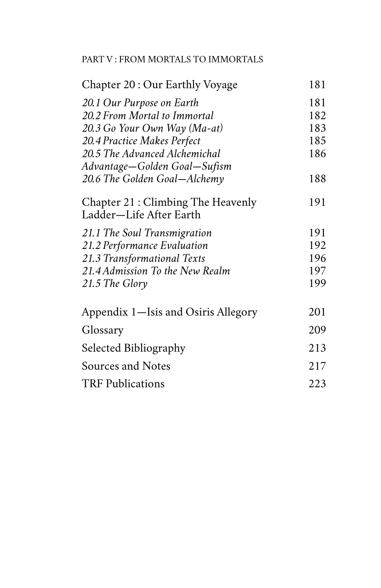#### [PART V : FROM MORTALS TO IMMORTALS](#page-0-4)

| Chapter 20 : Our Earthly Voyage                              | 181 |
|--------------------------------------------------------------|-----|
| 20.1 Our Purpose on Earth                                    | 181 |
| 20.2 From Mortal to Immortal                                 | 182 |
| 20.3 Go Your Own Way (Ma-at)                                 | 183 |
| 20.4 Practice Makes Perfect                                  | 185 |
| 20.5 The Advanced Alchemichal                                | 186 |
| Advantage—Golden Goal—Sufism                                 |     |
| 20.6 The Golden Goal–Alchemy                                 | 188 |
| Chapter 21: Climbing The Heavenly<br>Ladder—Life After Earth | 191 |
| 21.1 The Soul Transmigration                                 | 191 |
| 21.2 Performance Evaluation                                  | 192 |
| 21.3 Transformational Texts                                  | 196 |
| 21.4 Admission To the New Realm                              | 197 |
| 21.5 The Glory                                               | 199 |
| Appendix 1—Isis and Osiris Allegory                          | 201 |
| Glossary                                                     | 209 |
| Selected Bibliography                                        | 213 |
| <b>Sources and Notes</b>                                     | 217 |
| <b>TRF Publications</b>                                      | 223 |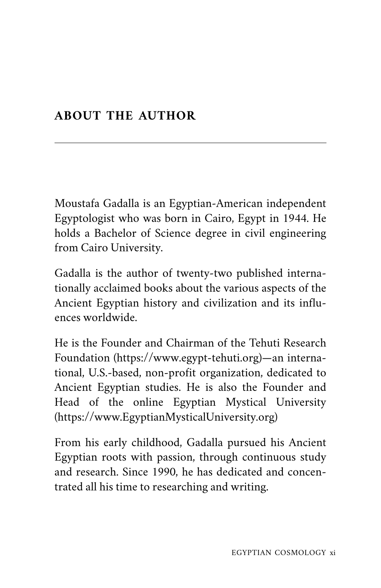#### <span id="page-10-0"></span>**ABOUT THE AUTHOR**

Moustafa Gadalla is an Egyptian-American independent Egyptologist who was born in Cairo, Egypt in 1944. He holds a Bachelor of Science degree in civil engineering from Cairo University.

Gadalla is the author of twenty-two published internationally acclaimed books about the various aspects of the Ancient Egyptian history and civilization and its influences worldwide.

He is the Founder and Chairman of the Tehuti Research Foundation [\(https://www.egypt-tehuti.org](http://www.egypt-tehuti.org))—an international, U.S.-based, non-profit organization, dedicated to Ancient Egyptian studies. He is also the Founder and Head of the online Egyptian Mystical University ([https://www.EgyptianMysticalUniversity.org](http://www.egyptianmysticaluniversity.org))

From his early childhood, Gadalla pursued his Ancient Egyptian roots with passion, through continuous study and research. Since 1990, he has dedicated and concentrated all his time to researching and writing.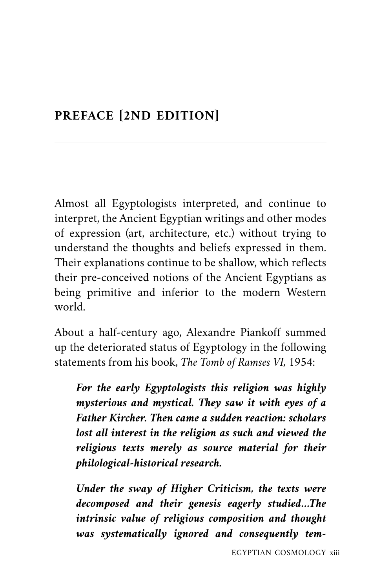#### <span id="page-12-0"></span>**PREFACE [2ND EDITION]**

Almost all Egyptologists interpreted, and continue to interpret, the Ancient Egyptian writings and other modes of expression (art, architecture, etc.) without trying to understand the thoughts and beliefs expressed in them. Their explanations continue to be shallow, which reflects their pre-conceived notions of the Ancient Egyptians as being primitive and inferior to the modern Western world.

About a half-century ago, Alexandre Piankoff summed up the deteriorated status of Egyptology in the following statements from his book, *The Tomb of Ramses VI,* 1954:

*For the early Egyptologists this religion was highly mysterious and mystical. They saw it with eyes of a Father Kircher. Then came a sudden reaction: scholars lost all interest in the religion as such and viewed the religious texts merely as source material for their philological-historical research.*

*Under the sway of Higher Criticism, the texts were decomposed and their genesis eagerly studied…The intrinsic value of religious composition and thought was systematically ignored and consequently tem-*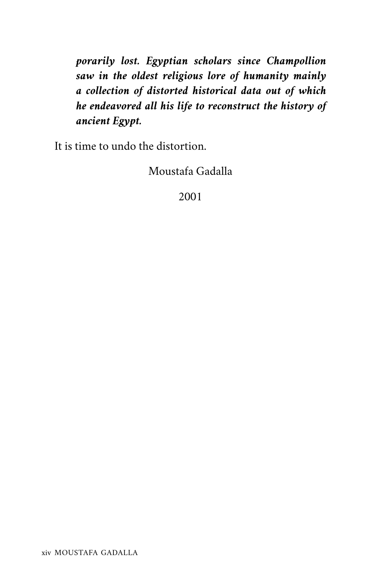*porarily lost. Egyptian scholars since Champollion saw in the oldest religious lore of humanity mainly a collection of distorted historical data out of which he endeavored all his life to reconstruct the history of ancient Egypt.*

It is time to undo the distortion.

Moustafa Gadalla

2001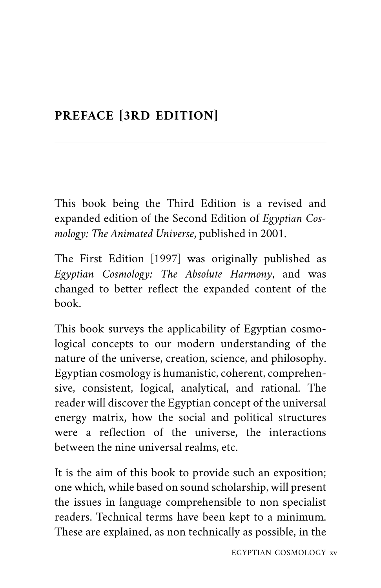## <span id="page-14-0"></span>**PREFACE [3RD EDITION]**

This book being the Third Edition is a revised and expanded edition of the Second Edition of *Egyptian Cosmology: The Animated Universe*, published in 2001.

The First Edition [1997] was originally published as *Egyptian Cosmology: The Absolute Harmony*, and was changed to better reflect the expanded content of the book.

This book surveys the applicability of Egyptian cosmological concepts to our modern understanding of the nature of the universe, creation, science, and philosophy. Egyptian cosmology is humanistic, coherent, comprehensive, consistent, logical, analytical, and rational. The reader will discover the Egyptian concept of the universal energy matrix, how the social and political structures were a reflection of the universe, the interactions between the nine universal realms, etc.

It is the aim of this book to provide such an exposition; one which, while based on sound scholarship, will present the issues in language comprehensible to non specialist readers. Technical terms have been kept to a minimum. These are explained, as non technically as possible, in the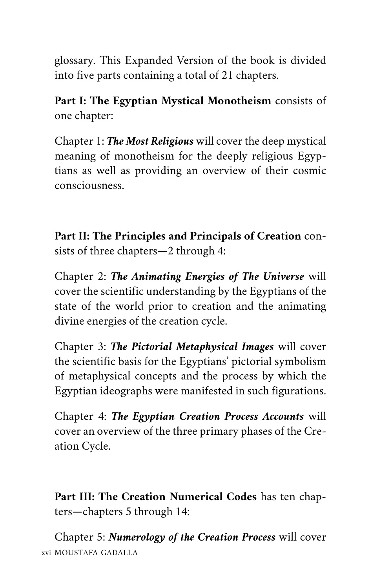glossary. This Expanded Version of the book is divided into five parts containing a total of 21 chapters.

**Part I: The Egyptian Mystical Monotheism** consists of one chapter:

Chapter 1: *The Most Religious* will cover the deep mystical meaning of monotheism for the deeply religious Egyptians as well as providing an overview of their cosmic consciousness.

**Part II: The Principles and Principals of Creation** consists of three chapters—2 through 4:

Chapter 2: *The Animating Energies of The Universe* will cover the scientific understanding by the Egyptians of the state of the world prior to creation and the animating divine energies of the creation cycle.

Chapter 3: *The Pictorial Metaphysical Images* will cover the scientific basis for the Egyptians' pictorial symbolism of metaphysical concepts and the process by which the Egyptian ideographs were manifested in such figurations.

Chapter 4: *The Egyptian Creation Process Accounts* will cover an overview of the three primary phases of the Creation Cycle.

**Part III: The Creation Numerical Codes** has ten chapters—chapters 5 through 14:

Chapter 5: *Numerology of the Creation Process* will cover xvi MOUSTAFA GADALLA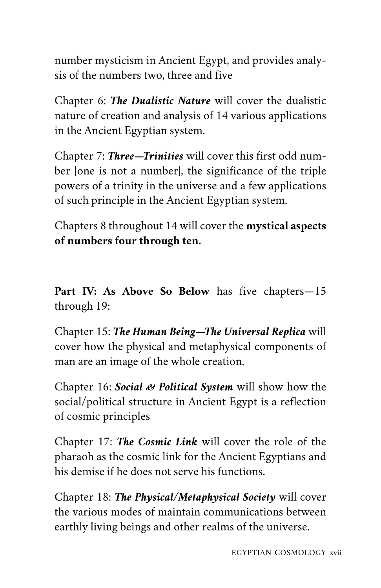number mysticism in Ancient Egypt, and provides analysis of the numbers two, three and five

Chapter 6: *The Dualistic Nature* will cover the dualistic nature of creation and analysis of 14 various applications in the Ancient Egyptian system.

Chapter 7: *Three—Trinities* will cover this first odd number [one is not a number], the significance of the triple powers of a trinity in the universe and a few applications of such principle in the Ancient Egyptian system.

Chapters 8 throughout 14 will cover the **mystical aspects of numbers four through ten.**

**Part IV: As Above So Below** has five chapters—15 through 19:

Chapter 15: *The Human Being—The Universal Replica* will cover how the physical and metaphysical components of man are an image of the whole creation.

Chapter 16: *Social & Political System* will show how the social/political structure in Ancient Egypt is a reflection of cosmic principles

Chapter 17: *The Cosmic Link* will cover the role of the pharaoh as the cosmic link for the Ancient Egyptians and his demise if he does not serve his functions.

Chapter 18: *The Physical/Metaphysical Society* will cover the various modes of maintain communications between earthly living beings and other realms of the universe.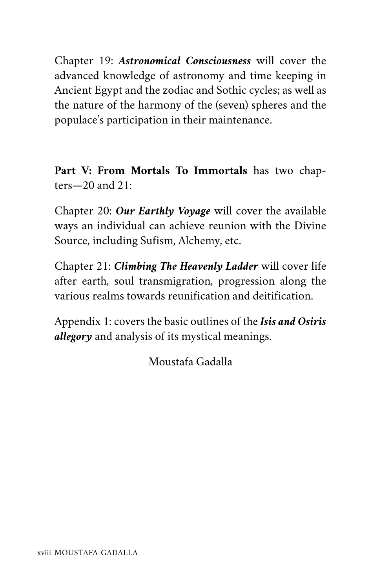Chapter 19: *Astronomical Consciousness* will cover the advanced knowledge of astronomy and time keeping in Ancient Egypt and the zodiac and Sothic cycles; as well as the nature of the harmony of the (seven) spheres and the populace's participation in their maintenance.

**Part V: From Mortals To Immortals** has two chapters—20 and 21:

Chapter 20: *Our Earthly Voyage* will cover the available ways an individual can achieve reunion with the Divine Source, including Sufism, Alchemy, etc.

Chapter 21: *Climbing The Heavenly Ladder* will cover life after earth, soul transmigration, progression along the various realms towards reunification and deitification.

Appendix 1: covers the basic outlines of the *Isis and Osiris allegory* and analysis of its mystical meanings.

Moustafa Gadalla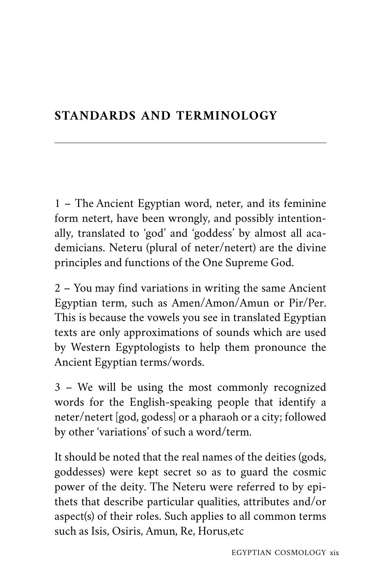#### <span id="page-18-0"></span>**STANDARDS AND TERMINOLOGY**

1 – The Ancient Egyptian word, neter, and its feminine form netert, have been wrongly, and possibly intentionally, translated to 'god' and 'goddess' by almost all academicians. Neteru (plural of neter/netert) are the divine principles and functions of the One Supreme God.

2 – You may find variations in writing the same Ancient Egyptian term, such as Amen/Amon/Amun or Pir/Per. This is because the vowels you see in translated Egyptian texts are only approximations of sounds which are used by Western Egyptologists to help them pronounce the Ancient Egyptian terms/words.

3 – We will be using the most commonly recognized words for the English-speaking people that identify a neter/netert [god, godess] or a pharaoh or a city; followed by other 'variations' of such a word/term.

It should be noted that the real names of the deities (gods, goddesses) were kept secret so as to guard the cosmic power of the deity. The Neteru were referred to by epithets that describe particular qualities, attributes and/or aspect(s) of their roles. Such applies to all common terms such as Isis, Osiris, Amun, Re, Horus,etc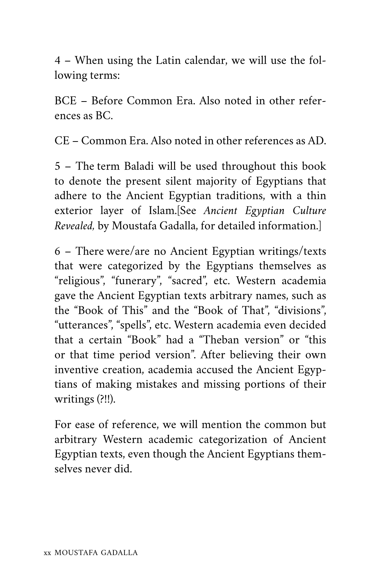4 – When using the Latin calendar, we will use the following terms:

BCE – Before Common Era. Also noted in other references as BC.

CE – Common Era. Also noted in other references as AD.

5 – The term Baladi will be used throughout this book to denote the present silent majority of Egyptians that adhere to the Ancient Egyptian traditions, with a thin exterior layer of Islam.[See *Ancient Egyptian Culture Revealed,* by Moustafa Gadalla, for detailed information.]

6 – There were/are no Ancient Egyptian writings/texts that were categorized by the Egyptians themselves as "religious", "funerary", "sacred", etc. Western academia gave the Ancient Egyptian texts arbitrary names, such as the "Book of This" and the "Book of That", "divisions", "utterances", "spells", etc. Western academia even decided that a certain "Book" had a "Theban version" or "this or that time period version". After believing their own inventive creation, academia accused the Ancient Egyptians of making mistakes and missing portions of their writings (?!!).

For ease of reference, we will mention the common but arbitrary Western academic categorization of Ancient Egyptian texts, even though the Ancient Egyptians themselves never did.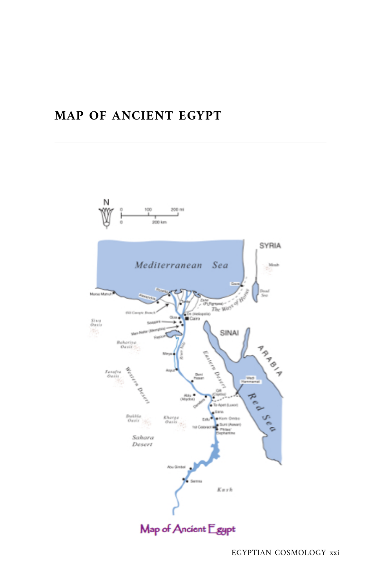#### <span id="page-20-0"></span>**MAP OF ANCIENT EGYPT**